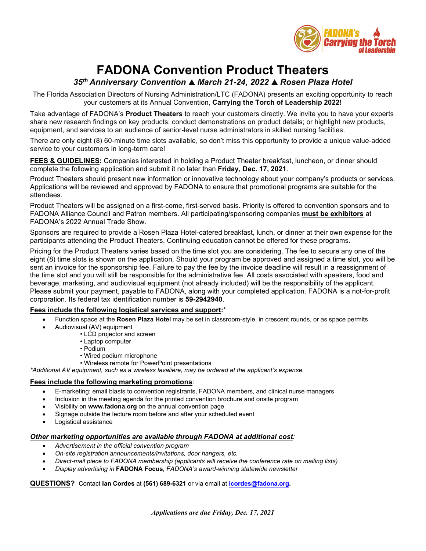

# **FADONA Convention Product Theaters**

## *35th Anniversary Convention March 21-24, 2022 Rosen Plaza Hotel*

The Florida Association Directors of Nursing Administration/LTC (FADONA) presents an exciting opportunity to reach your customers at its Annual Convention, **Carrying the Torch of Leadership 2022!**

Take advantage of FADONA's **Product Theaters** to reach your customers directly. We invite you to have your experts share new research findings on key products; conduct demonstrations on product details; or highlight new products, equipment, and services to an audience of senior-level nurse administrators in skilled nursing facilities.

There are only eight (8) 60-minute time slots available, so don't miss this opportunity to provide a unique value-added service to your customers in long-term care!

**FEES & GUIDELINES:** Companies interested in holding a Product Theater breakfast, luncheon, or dinner should complete the following application and submit it no later than **Friday, Dec. 17, 2021**.

Product Theaters should present new information or innovative technology about your company's products or services. Applications will be reviewed and approved by FADONA to ensure that promotional programs are suitable for the attendees.

Product Theaters will be assigned on a first-come, first-served basis. Priority is offered to convention sponsors and to FADONA Alliance Council and Patron members. All participating/sponsoring companies **must be exhibitors** at FADONA's 2022 Annual Trade Show.

Sponsors are required to provide a Rosen Plaza Hotel-catered breakfast, lunch, or dinner at their own expense for the participants attending the Product Theaters. Continuing education cannot be offered for these programs.

Pricing for the Product Theaters varies based on the time slot you are considering. The fee to secure any one of the eight (8) time slots is shown on the application. Should your program be approved and assigned a time slot, you will be sent an invoice for the sponsorship fee. Failure to pay the fee by the invoice deadline will result in a reassignment of the time slot and you will still be responsible for the administrative fee. All costs associated with speakers, food and beverage, marketing, and audiovisual equipment (not already included) will be the responsibility of the applicant. Please submit your payment, payable to FADONA, along with your completed application. FADONA is a not-for-profit corporation. Its federal tax identification number is **59-2942940**.

### **Fees include the following logistical services and support:**\*

- Function space at the **Rosen Plaza Hotel** may be set in classroom-style, in crescent rounds, or as space permits
	- Audiovisual (AV) equipment
		- LCD projector and screen
		- Laptop computer
		- Podium
		- Wired podium microphone
		- Wireless remote for PowerPoint presentations

*\*Additional AV equipment, such as a wireless lavaliere, may be ordered at the applicant's expense.*

#### **Fees include the following marketing promotions**:

- E-marketing: email blasts to convention registrants, FADONA members, and clinical nurse managers
- Inclusion in the meeting agenda for the printed convention brochure and onsite program
- Visibility on **www.fadona.org** on the annual convention page
- Signage outside the lecture room before and after your scheduled event
- Logistical assistance

#### *Other marketing opportunities are available through FADONA at additional cost:*

- *Advertisement in the official convention program*
- *On-site registration announcements/invitations, door hangers, etc.*
- *Direct-mail piece to FADONA membership (applicants will receive the conference rate on mailing lists)*
- *Display advertising in* **FADONA Focus***, FADONA's award-winning statewide newsletter*

#### **QUESTIONS?** Contact **Ian Cordes** at **(561) 689-6321** or via email at **[icordes@fadona.org.](mailto:icordes@fadona.org)**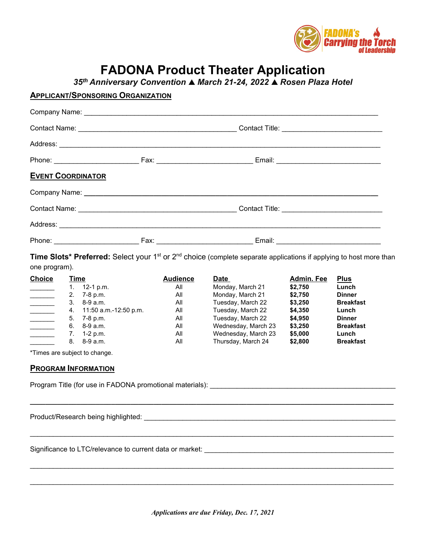

# **FADONA Product Theater Application**

*35th Anniversary Convention March 21-24, 2022 Rosen Plaza Hotel*

## **APPLICANT/SPONSORING ORGANIZATION**

| <b>EVENT COORDINATOR</b> |  |                           |  |  |  |
|--------------------------|--|---------------------------|--|--|--|
|                          |  |                           |  |  |  |
|                          |  |                           |  |  |  |
|                          |  |                           |  |  |  |
|                          |  | <b>Fax:</b> Email: Email: |  |  |  |

**Time Slots\* Preferred:** Select your 1<sup>st</sup> or 2<sup>nd</sup> choice (complete separate applications if applying to host more than one program).

| <b>Choice</b>                                                                                                                                                                                                                  | <u>Time</u> |                       | <b>Audience</b> | <u>Date</u>         | <b>Admin. Fee</b> | <b>Plus</b>      |
|--------------------------------------------------------------------------------------------------------------------------------------------------------------------------------------------------------------------------------|-------------|-----------------------|-----------------|---------------------|-------------------|------------------|
|                                                                                                                                                                                                                                | 1.          | 12-1 p.m.             | All             | Monday, March 21    | \$2,750           | Lunch            |
|                                                                                                                                                                                                                                | 2.          | 7-8 p.m.              | All             | Monday, March 21    | \$2,750           | <b>Dinner</b>    |
|                                                                                                                                                                                                                                | 3.          | 8-9 a.m.              | All             | Tuesday, March 22   | \$3,250           | <b>Breakfast</b> |
|                                                                                                                                                                                                                                | 4.          | 11:50 a.m.-12:50 p.m. | All             | Tuesday, March 22   | \$4,350           | Lunch            |
|                                                                                                                                                                                                                                | 5.          | 7-8 p.m.              | All             | Tuesday, March 22   | \$4,950           | <b>Dinner</b>    |
|                                                                                                                                                                                                                                | 6.          | 8-9 a.m.              | All             | Wednesday, March 23 | \$3,250           | <b>Breakfast</b> |
|                                                                                                                                                                                                                                | 7.          | 1-2 p.m.              | All             | Wednesday, March 23 | \$5,000           | Lunch            |
|                                                                                                                                                                                                                                | 8.          | 8-9 a.m.              | All             | Thursday, March 24  | \$2,800           | <b>Breakfast</b> |
| *Times are subject to change.<br><b>PROGRAM INFORMATION</b><br>Program Title (for use in FADONA promotional materials):                                                                                                        |             |                       |                 |                     |                   |                  |
| Product/Research being highlighted: Network and the search of the search of the search of the search of the search of the search of the search of the search of the search of the search of the search of the search of the se |             |                       |                 |                     |                   |                  |
| Significance to LTC/relevance to current data or market:                                                                                                                                                                       |             |                       |                 |                     |                   |                  |

\_\_\_\_\_\_\_\_\_\_\_\_\_\_\_\_\_\_\_\_\_\_\_\_\_\_\_\_\_\_\_\_\_\_\_\_\_\_\_\_\_\_\_\_\_\_\_\_\_\_\_\_\_\_\_\_\_\_\_\_\_\_\_\_\_\_\_\_\_\_\_\_\_\_\_\_\_\_\_\_\_\_\_\_\_\_\_\_\_\_\_\_\_\_

\_\_\_\_\_\_\_\_\_\_\_\_\_\_\_\_\_\_\_\_\_\_\_\_\_\_\_\_\_\_\_\_\_\_\_\_\_\_\_\_\_\_\_\_\_\_\_\_\_\_\_\_\_\_\_\_\_\_\_\_\_\_\_\_\_\_\_\_\_\_\_\_\_\_\_\_\_\_\_\_\_\_\_\_\_\_\_\_\_\_\_\_\_\_